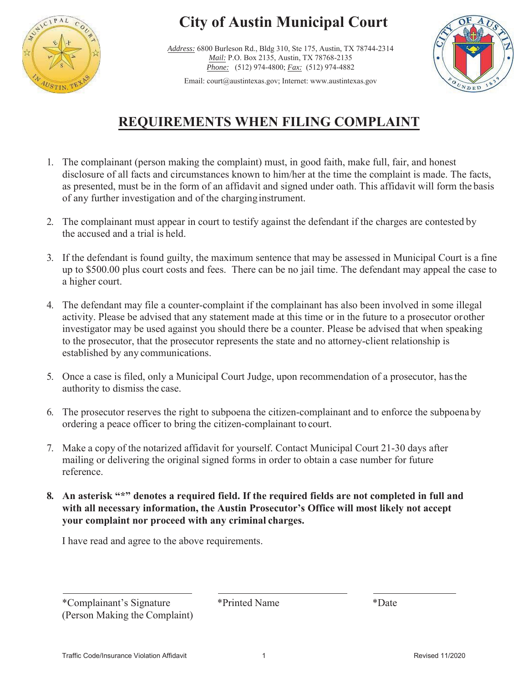

# **City of Austin Municipal Court**

Address: 6800 Burleson Rd., Bldg 310, Ste 175, Austin, TX 78744-2314 *Mail:* P.O. Box 2135, Austin, TX 78768-2135 *Phone:* (512) 974-4800; *Fax:* (512) 974-4882



Email: court@austintexas.gov; Internet: www.austintexas.gov

## **REQUIREMENTS WHEN FILING COMPLAINT**

- 1. The complainant (person making the complaint) must, in good faith, make full, fair, and honest disclosure of all facts and circumstances known to him/her at the time the complaint is made. The facts, as presented, must be in the form of an affidavit and signed under oath. This affidavit will form the basis of any further investigation and of the charginginstrument.
- 2. The complainant must appear in court to testify against the defendant if the charges are contested by the accused and a trial is held.
- 3. If the defendant is found guilty, the maximum sentence that may be assessed in Municipal Court is a fine up to \$500.00 plus court costs and fees. There can be no jail time. The defendant may appeal the case to a higher court.
- 4. The defendant may file a counter-complaint if the complainant has also been involved in some illegal activity. Please be advised that any statement made at this time or in the future to a prosecutor orother investigator may be used against you should there be a counter. Please be advised that when speaking to the prosecutor, that the prosecutor represents the state and no attorney-client relationship is established by any communications.
- 5. Once a case is filed, only a Municipal Court Judge, upon recommendation of a prosecutor, has the authority to dismiss the case.
- 6. The prosecutor reserves the right to subpoena the citizen-complainant and to enforce the subpoenaby ordering a peace officer to bring the citizen-complainant to court.
- 7. Make a copy of the notarized affidavit for yourself. Contact Municipal Court 21-30 days after mailing or delivering the original signed forms in order to obtain a case number for future reference.
- **8. An asterisk "\*" denotes a required field. If the required fields are not completed in full and with all necessary information, the Austin Prosecutor's Office will most likely not accept your complaint nor proceed with any criminal charges.**

I have read and agree to the above requirements.

\*Complainant's Signature \*Printed Name \*Date (Person Making the Complaint)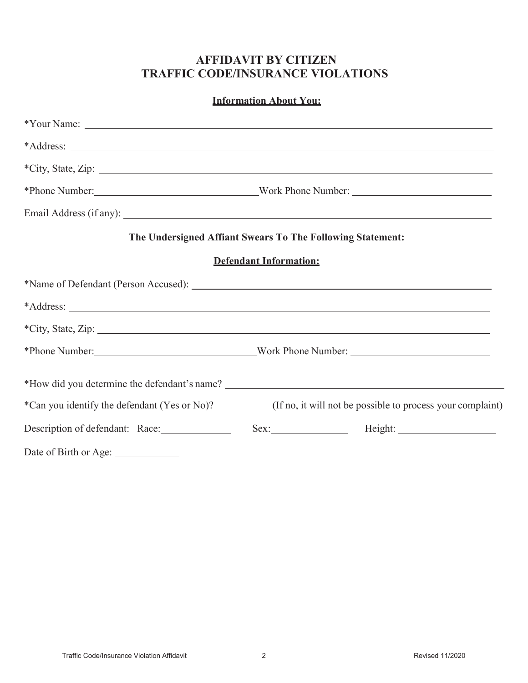## **AFFIDAVIT BY CITIZEN TRAFFIC CODE/INSURANCE VIOLATIONS**

| <b>Information About You:</b>        |                                                                                                                                                                                                                                      |  |  |  |
|--------------------------------------|--------------------------------------------------------------------------------------------------------------------------------------------------------------------------------------------------------------------------------------|--|--|--|
|                                      | $*$ Your Name: $\overline{\phantom{a}}$                                                                                                                                                                                              |  |  |  |
|                                      |                                                                                                                                                                                                                                      |  |  |  |
|                                      |                                                                                                                                                                                                                                      |  |  |  |
|                                      |                                                                                                                                                                                                                                      |  |  |  |
|                                      |                                                                                                                                                                                                                                      |  |  |  |
|                                      | The Undersigned Affiant Swears To The Following Statement:                                                                                                                                                                           |  |  |  |
|                                      | <b>Defendant Information:</b>                                                                                                                                                                                                        |  |  |  |
|                                      |                                                                                                                                                                                                                                      |  |  |  |
|                                      | *Address: <u>and the set of the set of the set of the set of the set of the set of the set of the set of the set of the set of the set of the set of the set of the set of the set of the set of the set of the set of the set o</u> |  |  |  |
|                                      |                                                                                                                                                                                                                                      |  |  |  |
|                                      | *Phone Number: Work Phone Number:                                                                                                                                                                                                    |  |  |  |
|                                      |                                                                                                                                                                                                                                      |  |  |  |
|                                      | *Can you identify the defendant (Yes or No)?_________(If no, it will not be possible to process your complaint)                                                                                                                      |  |  |  |
|                                      | Description of defendant: Race: Sex: Sex: Height: Next Mexicon and Mediant: Nace:                                                                                                                                                    |  |  |  |
| Date of Birth or Age: ______________ |                                                                                                                                                                                                                                      |  |  |  |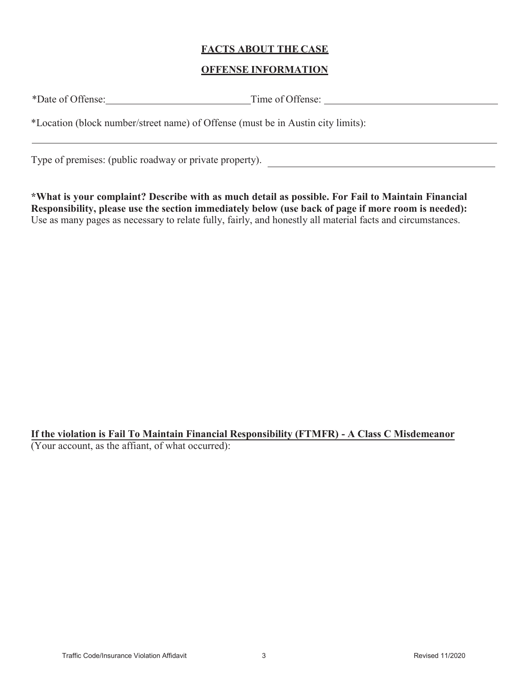#### **FACTS ABOUT THE CASE**

#### **OFFENSE INFORMATION**

| *Date of Offense: | Time of Offense:                                                                 |
|-------------------|----------------------------------------------------------------------------------|
|                   | *Location (block number/street name) of Offense (must be in Austin city limits): |

Type of premises: (public roadway or private property).

**\*What is your complaint? Describe with as much detail as possible. For Fail to Maintain Financial Responsibility, please use the section immediately below (use back of page if more room is needed):** Use as many pages as necessary to relate fully, fairly, and honestly all material facts and circumstances.

**If the violation is Fail To Maintain Financial Responsibility (FTMFR) - A Class C Misdemeanor** (Your account, as the affiant, of what occurred):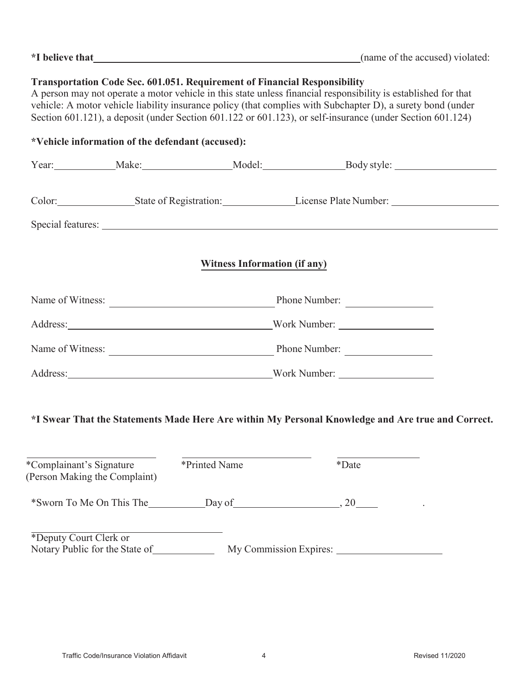| <i>*I</i> believe that |  |
|------------------------|--|
|------------------------|--|

### **Transportation Code Sec. 601.051. Requirement of Financial Responsibility**

A person may not operate a motor vehicle in this state unless financial responsibility is established for that vehicle: A motor vehicle liability insurance policy (that complies with Subchapter D), a surety bond (under Section 601.121), a deposit (under Section 601.122 or 601.123), or self-insurance (under Section 601.124)

| *Vehicle information of the defendant (accused):                                                  |  |  |                                                                                                                                                                                                                                |  |  |
|---------------------------------------------------------------------------------------------------|--|--|--------------------------------------------------------------------------------------------------------------------------------------------------------------------------------------------------------------------------------|--|--|
|                                                                                                   |  |  | Year: Make: Make: Model: Body style: Model: Body style:                                                                                                                                                                        |  |  |
|                                                                                                   |  |  | Color: State of Registration: License Plate Number: _____________________________                                                                                                                                              |  |  |
|                                                                                                   |  |  |                                                                                                                                                                                                                                |  |  |
| <b>Witness Information (if any)</b>                                                               |  |  |                                                                                                                                                                                                                                |  |  |
|                                                                                                   |  |  |                                                                                                                                                                                                                                |  |  |
|                                                                                                   |  |  | Address: North Number: North Number: North Number: North Number: North Number: North Number: North Number: North Number: North Number: North Number: North Number: North Number: North Number: North Number: North Number: Nor |  |  |
|                                                                                                   |  |  | Name of Witness: Phone Number:                                                                                                                                                                                                 |  |  |
|                                                                                                   |  |  | Address: North Number: North Number: North Number: North Number: North Number: North Number: North Number: North Number: North Number: North Number: North Number: North Number: North Number: North Number: North Number: Nor |  |  |
| *I Swear That the Statements Made Here Are within My Personal Knowledge and Are true and Correct. |  |  |                                                                                                                                                                                                                                |  |  |

| *Complainant's Signature<br>(Person Making the Complaint) | *Printed Name          | *Date |
|-----------------------------------------------------------|------------------------|-------|
| *Sworn To Me On This The                                  | Day of                 | 20    |
| *Deputy Court Clerk or<br>Notary Public for the State of  | My Commission Expires: |       |